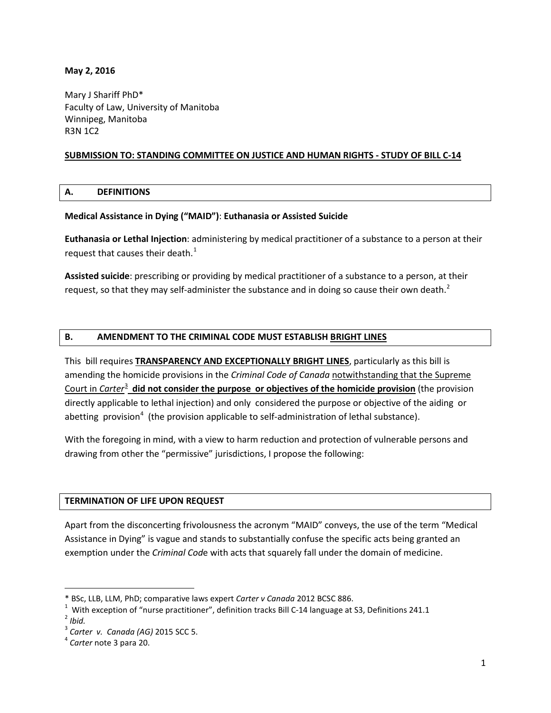#### **May 2, 2016**

Mary J Shariff PhD\* Faculty of Law, University of Manitoba Winnipeg, Manitoba R3N 1C2

### **SUBMISSION TO: STANDING COMMITTEE ON JUSTICE AND HUMAN RIGHTS - STUDY OF BILL C-14**

#### **A. DEFINITIONS**

#### **Medical Assistance in Dying ("MAID")**: **Euthanasia or Assisted Suicide**

**Euthanasia or Lethal Injection**: administering by medical practitioner of a substance to a person at their request that causes their death.<sup>[1](#page-0-0)</sup>

**Assisted suicide**: prescribing or providing by medical practitioner of a substance to a person, at their request, so that they may self-administer the substance and in doing so cause their own death.<sup>[2](#page-0-1)</sup>

### **B. AMENDMENT TO THE CRIMINAL CODE MUST ESTABLISH BRIGHT LINES**

This bill requires **TRANSPARENCY AND EXCEPTIONALLY BRIGHT LINES**, particularly as this bill is amending the homicide provisions in the *Criminal Code of Canada* notwithstanding that the Supreme Court in *Carter*[3](#page-0-2) **did not consider the purpose or objectives of the homicide provision** (the provision directly applicable to lethal injection) and only considered the purpose or objective of the aiding or abetting provision<sup>[4](#page-0-3)</sup> (the provision applicable to self-administration of lethal substance).

With the foregoing in mind, with a view to harm reduction and protection of vulnerable persons and drawing from other the "permissive" jurisdictions, I propose the following:

#### **TERMINATION OF LIFE UPON REQUEST**

Apart from the disconcerting frivolousness the acronym "MAID" conveys, the use of the term "Medical Assistance in Dying" is vague and stands to substantially confuse the specific acts being granted an exemption under the *Criminal Cod*e with acts that squarely fall under the domain of medicine.

 $\overline{\phantom{a}}$ 

<sup>\*</sup> BSc, LLB, LLM, PhD; comparative laws expert *Carter v Canada* 2012 BCSC 886. <sup>1</sup>

<span id="page-0-0"></span><sup>&</sup>lt;sup>1</sup> With exception of "nurse practitioner", definition tracks Bill C-14 language at S3, Definitions 241.1 <sup>2</sup> *Ihid* 

<span id="page-0-1"></span>

<span id="page-0-2"></span><sup>3</sup> *Carter v. Canada (AG)* 2015 SCC 5. <sup>4</sup> *Carter* note 3 para 20.

<span id="page-0-3"></span>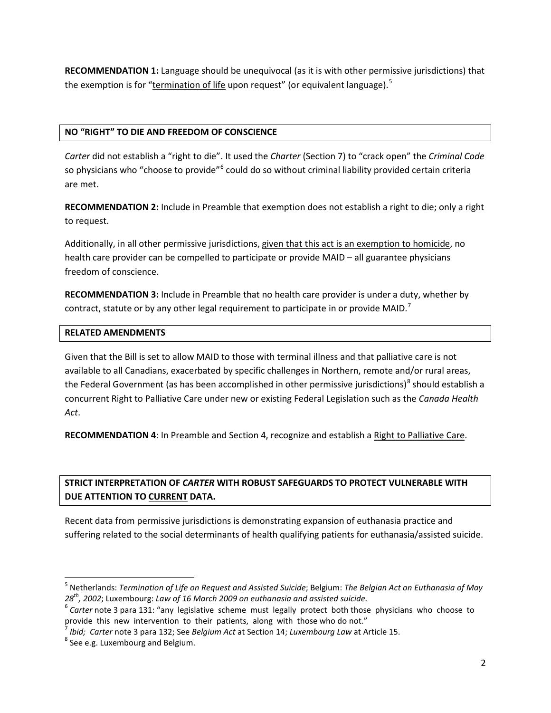**RECOMMENDATION 1:** Language should be unequivocal (as it is with other permissive jurisdictions) that the exemption is for "<u>termination of life</u> upon request" (or equivalent language).<sup>[5](#page-1-0)</sup>

## **NO "RIGHT" TO DIE AND FREEDOM OF CONSCIENCE**

*Carter* did not establish a "right to die". It used the *Charter* (Section 7) to "crack open" the *Criminal Code* so physicians who "choose to provide"<sup>[6](#page-1-1)</sup> could do so without criminal liability provided certain criteria are met.

**RECOMMENDATION 2:** Include in Preamble that exemption does not establish a right to die; only a right to request.

Additionally, in all other permissive jurisdictions, given that this act is an exemption to homicide, no health care provider can be compelled to participate or provide MAID – all guarantee physicians freedom of conscience.

**RECOMMENDATION 3:** Include in Preamble that no health care provider is under a duty, whether by contract, statute or by any other legal requirement to participate in or provide MAID.<sup>[7](#page-1-2)</sup>

## **RELATED AMENDMENTS**

Given that the Bill is set to allow MAID to those with terminal illness and that palliative care is not available to all Canadians, exacerbated by specific challenges in Northern, remote and/or rural areas, the Federal Government (as has been accomplished in other permissive jurisdictions)<sup>[8](#page-1-3)</sup> should establish a concurrent Right to Palliative Care under new or existing Federal Legislation such as the *Canada Health Act*.

**RECOMMENDATION 4**: In Preamble and Section 4, recognize and establish a Right to Palliative Care.

# **STRICT INTERPRETATION OF** *CARTER* **WITH ROBUST SAFEGUARDS TO PROTECT VULNERABLE WITH DUE ATTENTION TO CURRENT DATA.**

Recent data from permissive jurisdictions is demonstrating expansion of euthanasia practice and suffering related to the social determinants of health qualifying patients for euthanasia/assisted suicide.

<span id="page-1-0"></span> <sup>5</sup> Netherlands: *Termination of Life on Request and Assisted Suicide*; Belgium: *The Belgian Act on Euthanasia of May* 

<span id="page-1-1"></span><sup>28&</sup>lt;sup>th</sup>, 2002; Luxembourg: *Law of 16 March 2009 on euthanasia and assisted suicide.*<br><sup>6</sup> *Carter* note 3 para 131: "any legislative scheme must legally protect both those physicians who choose to provide this new intervent

<span id="page-1-2"></span><sup>&</sup>lt;sup>7</sup> Ibid; Carter note 3 para 132; See Belgium Act at Section 14; Luxembourg Law at Article 15.<br><sup>8</sup> See e.g. Luxembourg and Belgium.

<span id="page-1-3"></span>